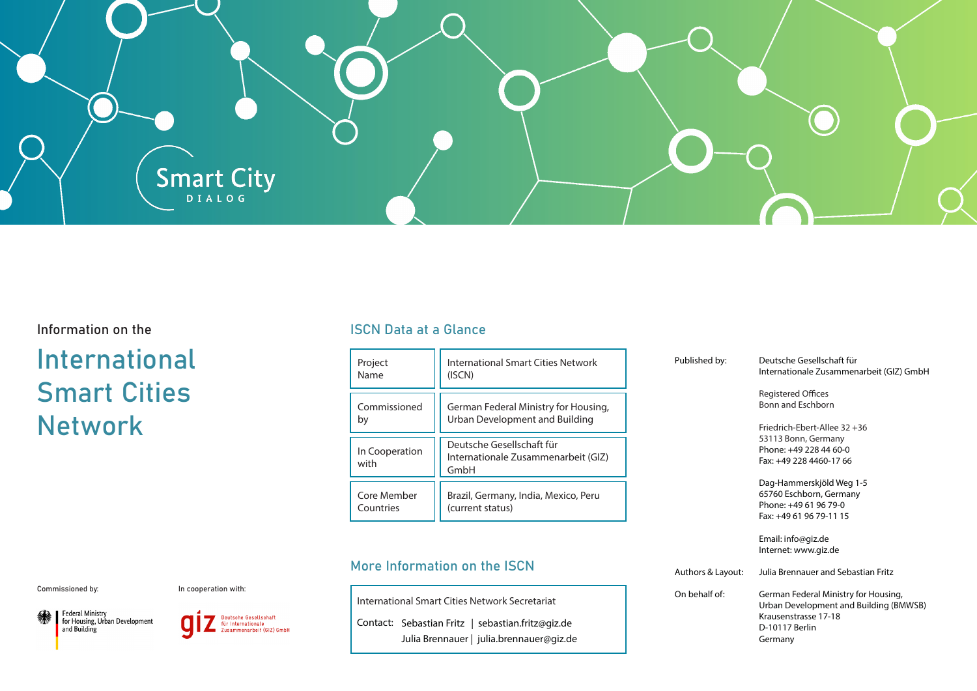

# Information on the

# International Smart Cities Network

## ISCN Data at a Glance

| Project                | International Smart Cities Network                                       |
|------------------------|--------------------------------------------------------------------------|
| Name                   | (ISCN)                                                                   |
| Commissioned           | German Federal Ministry for Housing,                                     |
| bγ                     | Urban Development and Building                                           |
| In Cooperation<br>with | Deutsche Gesellschaft für<br>Internationale Zusammenarbeit (GIZ)<br>GmbH |
| Core Member            | Brazil, Germany, India, Mexico, Peru                                     |
| Countries              | (current status)                                                         |

# More Information on the ISCN

| International Smart Cities Network Secretariat |  |                                                   |
|------------------------------------------------|--|---------------------------------------------------|
|                                                |  | Contact: Sebastian Fritz   sebastian.fritz@giz.de |
|                                                |  |                                                   |

| Published by:     | Deutsche Gesellschaft für<br>Internationale Zusammenarbeit (GIZ) GmbH                                                               |
|-------------------|-------------------------------------------------------------------------------------------------------------------------------------|
|                   | <b>Registered Offices</b><br><b>Bonn and Eschborn</b>                                                                               |
|                   | Friedrich-Ebert-Allee 32 +36<br>53113 Bonn, Germany<br>Phone: +49 228 44 60-0                                                       |
|                   | Fax: +49 228 4460-17 66                                                                                                             |
|                   | Dag-Hammerskjöld Weg 1-5<br>65760 Eschborn, Germany<br>Phone: +49 61 96 79-0<br>Fax: +49 61 96 79-11 15                             |
|                   | Email: info@giz.de<br>Internet: www.giz.de                                                                                          |
| Authors & Layout: | Julia Brennauer and Sebastian Fritz                                                                                                 |
| On behalf of:     | German Federal Ministry for Housing,<br>Urban Development and Building (BMWSB)<br>Krausenstrasse 17-18<br>D-10117 Berlin<br>Germanv |

Commissioned by:

In cooperation with:





Julia Brennauer | julia.brennauer@giz.de